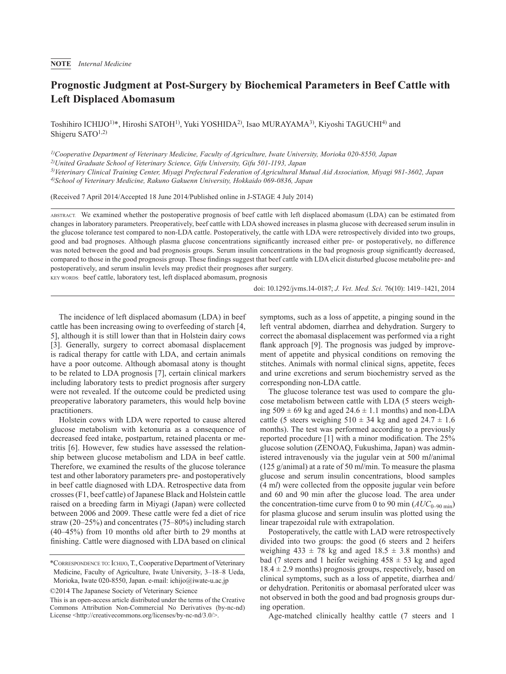## **Prognostic Judgment at Post-Surgery by Biochemical Parameters in Beef Cattle with Left Displaced Abomasum**

Toshihiro ICHIJO<sup>1)\*</sup>, Hiroshi SATOH<sup>1)</sup>, Yuki YOSHIDA<sup>2)</sup>, Isao MURAYAMA<sup>3)</sup>, Kiyoshi TAGUCHI<sup>4)</sup> and Shigeru SATO1,2)

*1)Cooperative Department of Veterinary Medicine, Faculty of Agriculture, Iwate University, Morioka 020-8550, Japan*

*2)United Graduate School of Veterinary Science, Gifu University, Gifu 501-1193, Japan*

*3)Veterinary Clinical Training Center, Miyagi Prefectural Federation of Agricultural Mutual Aid Association, Miyagi 981-3602, Japan*

*4)School of Veterinary Medicine, Rakuno Gakuenn University, Hokkaido 069-0836, Japan*

(Received 7 April 2014/Accepted 18 June 2014/Published online in J-STAGE 4 July 2014)

ABSTRACT. We examined whether the postoperative prognosis of beef cattle with left displaced abomasum (LDA) can be estimated from changes in laboratory parameters. Preoperatively, beef cattle with LDA showed increases in plasma glucose with decreased serum insulin in the glucose tolerance test compared to non-LDA cattle. Postoperatively, the cattle with LDA were retrospectively divided into two groups, good and bad prognoses. Although plasma glucose concentrations significantly increased either pre- or postoperatively, no difference was noted between the good and bad prognosis groups. Serum insulin concentrations in the bad prognosis group significantly decreased, compared to those in the good prognosis group. These findings suggest that beef cattle with LDA elicit disturbed glucose metabolite pre- and postoperatively, and serum insulin levels may predict their prognoses after surgery.

KEY WORDS: beef cattle, laboratory test, left displaced abomasum, prognosis

doi: 10.1292/jvms.14-0187; *J. Vet. Med. Sci.* 76(10): 1419–1421, 2014

The incidence of left displaced abomasum (LDA) in beef cattle has been increasing owing to overfeeding of starch [[4,](#page-2-0) [5](#page-2-0)], although it is still lower than that in Holstein dairy cows [[3](#page-2-1)]. Generally, surgery to correct abomasal displacement is radical therapy for cattle with LDA, and certain animals have a poor outcome. Although abomasal atony is thought to be related to LDA prognosis [[7](#page-2-2)], certain clinical markers including laboratory tests to predict prognosis after surgery were not revealed. If the outcome could be predicted using preoperative laboratory parameters, this would help bovine practitioners.

Holstein cows with LDA were reported to cause altered glucose metabolism with ketonuria as a consequence of decreased feed intake, postpartum, retained placenta or metritis [[6](#page-2-3)]. However, few studies have assessed the relationship between glucose metabolism and LDA in beef cattle. Therefore, we examined the results of the glucose tolerance test and other laboratory parameters pre- and postoperatively in beef cattle diagnosed with LDA. Retrospective data from crosses (F1, beef cattle) of Japanese Black and Holstein cattle raised on a breeding farm in Miyagi (Japan) were collected between 2006 and 2009. These cattle were fed a diet of rice straw (20–25%) and concentrates (75–80%) including starch (40–45%) from 10 months old after birth to 29 months at finishing. Cattle were diagnosed with LDA based on clinical

©2014 The Japanese Society of Veterinary Science

symptoms, such as a loss of appetite, a pinging sound in the left ventral abdomen, diarrhea and dehydration. Surgery to correct the abomasal displacement was performed via a right flank approach [[9](#page-2-4)]. The prognosis was judged by improvement of appetite and physical conditions on removing the stitches. Animals with normal clinical signs, appetite, feces and urine excretions and serum biochemistry served as the corresponding non-LDA cattle.

The glucose tolerance test was used to compare the glucose metabolism between cattle with LDA (5 steers weighing  $509 \pm 69$  kg and aged  $24.6 \pm 1.1$  months) and non-LDA cattle (5 steers weighing  $510 \pm 34$  kg and aged  $24.7 \pm 1.6$ months). The test was performed according to a previously reported procedure [[1](#page-1-0)] with a minor modification. The 25% glucose solution (ZENOAQ, Fukushima, Japan) was administered intravenously via the jugular vein at 500 m*l*/animal (125 g/animal) at a rate of 50 m*l*/min. To measure the plasma glucose and serum insulin concentrations, blood samples (4 m*l*) were collected from the opposite jugular vein before and 60 and 90 min after the glucose load. The area under the concentration-time curve from 0 to 90 min  $(AUC_{0-90 \text{ min}})$ for plasma glucose and serum insulin was plotted using the linear trapezoidal rule with extrapolation.

Postoperatively, the cattle with LAD were retrospectively divided into two groups: the good (6 steers and 2 heifers weighing  $433 \pm 78$  kg and aged  $18.5 \pm 3.8$  months) and bad (7 steers and 1 heifer weighing  $458 \pm 53$  kg and aged  $18.4 \pm 2.9$  months) prognosis groups, respectively, based on clinical symptoms, such as a loss of appetite, diarrhea and/ or dehydration. Peritonitis or abomasal perforated ulcer was not observed in both the good and bad prognosis groups during operation.

Age-matched clinically healthy cattle (7 steers and 1

<sup>\*</sup>Correspondence to: Ichijo, T., Cooperative Department of Veterinary Medicine, Faculty of Agriculture, Iwate University, 3–18–8 Ueda, Morioka, Iwate 020-8550, Japan. e-mail: ichijo@iwate-u.ac.jp

This is an open-access article distributed under the terms of the Creative Commons Attribution Non-Commercial No Derivatives (by-nc-nd) License [<http://creativecommons.org/licenses/by-nc-nd/3.0/](http://creativecommons.org/licenses/by-nc-nd/3.0/)>.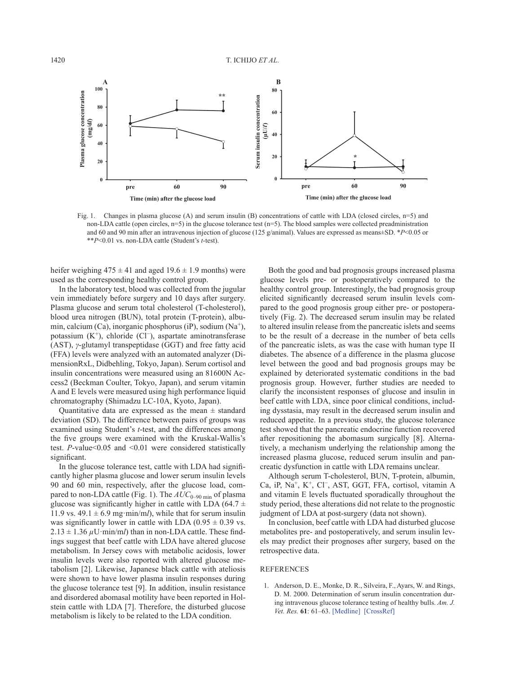

Fig. 1. Changes in plasma glucose (A) and serum insulin (B) concentrations of cattle with LDA (closed circles, n=5) and non-LDA cattle (open circles, n=5) in the glucose tolerance test (n=5). The blood samples were collected preadministration and 60 and 90 min after an intravenous injection of glucose (125 g/animal). Values are expressed as means±SD. \**P*<0.05 or \*\**P*<0.01 vs. non-LDA cattle (Student's *t*-test).

heifer weighing  $475 \pm 41$  and aged  $19.6 \pm 1.9$  months) were used as the corresponding healthy control group.

In the laboratory test, blood was collected from the jugular vein immediately before surgery and 10 days after surgery. Plasma glucose and serum total cholesterol (T-cholesterol), blood urea nitrogen (BUN), total protein (T-protein), albumin, calcium (Ca), inorganic phosphorus (iP), sodium  $(Na^+)$ , potassium (K+), chloride (Cl<sup>−</sup>), aspartate aminotransferase (AST), *γ*-glutamyl transpeptidase (GGT) and free fatty acid (FFA) levels were analyzed with an automated analyzer (DimensionRxL, Didbehling, Tokyo, Japan). Serum cortisol and insulin concentrations were measured using an 81600N Access2 (Beckman Coulter, Tokyo, Japan), and serum vitamin A and E levels were measured using high performance liquid chromatography (Shimadzu LC-10A, Kyoto, Japan).

Quantitative data are expressed as the mean  $\pm$  standard deviation (SD). The difference between pairs of groups was examined using Student's *t*-test, and the differences among the five groups were examined with the Kruskal-Wallis's test. *P*-value<0.05 and <0.01 were considered statistically significant.

In the glucose tolerance test, cattle with LDA had significantly higher plasma glucose and lower serum insulin levels 90 and 60 min, respectively, after the glucose load, compared to non-LDA cattle (Fig. 1). The  $AUC_{0-90 \text{ min}}$  of plasma glucose was significantly higher in cattle with LDA (64.7  $\pm$ 11.9 vs.  $49.1 \pm 6.9$  mg·min/m*l*), while that for serum insulin was significantly lower in cattle with LDA  $(0.95 \pm 0.39 \text{ vs.})$  $2.13 \pm 1.36 \,\mu$ U·min/m*l*) than in non-LDA cattle. These findings suggest that beef cattle with LDA have altered glucose metabolism. In Jersey cows with metabolic acidosis, lower insulin levels were also reported with altered glucose metabolism [[2\]](#page-2-5). Likewise, Japanese black cattle with ateliosis were shown to have lower plasma insulin responses during the glucose tolerance test [[9](#page-2-4)]. In addition, insulin resistance and disordered abomasal motility have been reported in Holstein cattle with LDA [\[7\]](#page-2-2). Therefore, the disturbed glucose metabolism is likely to be related to the LDA condition.

Both the good and bad prognosis groups increased plasma glucose levels pre- or postoperatively compared to the healthy control group. Interestingly, the bad prognosis group elicited significantly decreased serum insulin levels compared to the good prognosis group either pre- or postoperatively (Fig. 2). The decreased serum insulin may be related to altered insulin release from the pancreatic islets and seems to be the result of a decrease in the number of beta cells of the pancreatic islets, as was the case with human type II diabetes. The absence of a difference in the plasma glucose level between the good and bad prognosis groups may be explained by deteriorated systematic conditions in the bad prognosis group. However, further studies are needed to clarify the inconsistent responses of glucose and insulin in beef cattle with LDA, since poor clinical conditions, including dysstasia, may result in the decreased serum insulin and reduced appetite. In a previous study, the glucose tolerance test showed that the pancreatic endocrine function recovered after repositioning the abomasum surgically [[8](#page-2-6)]. Alternatively, a mechanism underlying the relationship among the increased plasma glucose, reduced serum insulin and pancreatic dysfunction in cattle with LDA remains unclear.

Although serum T-cholesterol, BUN, T-protein, albumin, Ca, iP, Na+, K+, Cl<sup>−</sup>, AST, GGT, FFA, cortisol, vitamin A and vitamin E levels fluctuated sporadically throughout the study period, these alterations did not relate to the prognostic judgment of LDA at post-surgery (data not shown).

In conclusion, beef cattle with LDA had disturbed glucose metabolites pre- and postoperatively, and serum insulin levels may predict their prognoses after surgery, based on the retrospective data.

## REFERENCES

<span id="page-1-0"></span>1. Anderson, D. E., Monke, D. R., Silveira, F., Ayars, W. and Rings, D. M. 2000. Determination of serum insulin concentration during intravenous glucose tolerance testing of healthy bulls. *Am. J. Vet. Res.* **61**: 61–63. [\[Medline\]](http://www.ncbi.nlm.nih.gov/pubmed/10630780?dopt=Abstract) [\[CrossRef\]](http://dx.doi.org/10.2460/ajvr.2000.61.61)